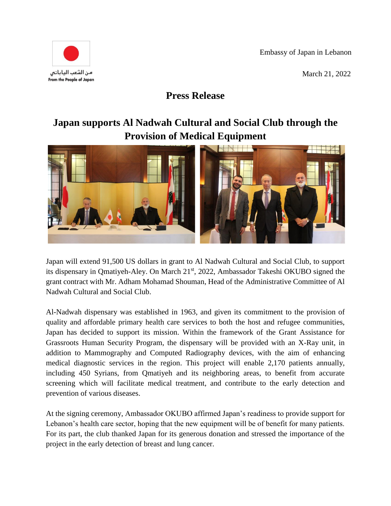Embassy of Japan in Lebanon





**Press Release**

## **Japan supports Al Nadwah Cultural and Social Club through the Provision of Medical Equipment**



Japan will extend 91,500 US dollars in grant to Al Nadwah Cultural and Social Club, to support its dispensary in Qmatiyeh-Aley. On March 21st, 2022, Ambassador Takeshi OKUBO signed the grant contract with Mr. Adham Mohamad Shouman, Head of the Administrative Committee of Al Nadwah Cultural and Social Club.

Al-Nadwah dispensary was established in 1963, and given its commitment to the provision of quality and affordable primary health care services to both the host and refugee communities, Japan has decided to support its mission. Within the framework of the Grant Assistance for Grassroots Human Security Program, the dispensary will be provided with an X-Ray unit, in addition to Mammography and Computed Radiography devices, with the aim of enhancing medical diagnostic services in the region. This project will enable 2,170 patients annually, including 450 Syrians, from Qmatiyeh and its neighboring areas, to benefit from accurate screening which will facilitate medical treatment, and contribute to the early detection and prevention of various diseases.

At the signing ceremony, Ambassador OKUBO affirmed Japan's readiness to provide support for Lebanon's health care sector, hoping that the new equipment will be of benefit for many patients. For its part, the club thanked Japan for its generous donation and stressed the importance of the project in the early detection of breast and lung cancer.